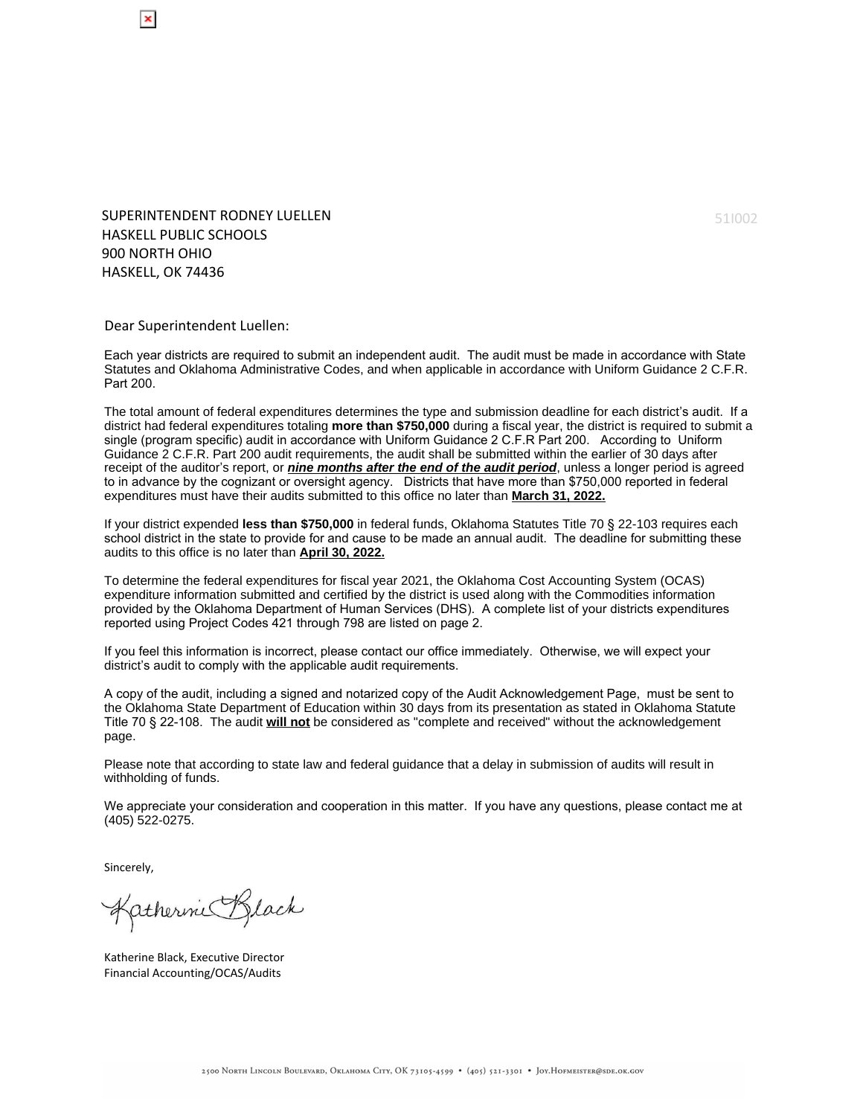SUPERINTENDENT RODNEY LUELLEN HASKELL PUBLIC SCHOOLS 900 NORTH OHIO HASKELL, OK 74436

Dear Superintendent Luellen:

Each year districts are required to submit an independent audit. The audit must be made in accordance with State Statutes and Oklahoma Administrative Codes, and when applicable in accordance with Uniform Guidance 2 C.F.R. Part 200.

The total amount of federal expenditures determines the type and submission deadline for each district's audit. If a district had federal expenditures totaling **more than \$750,000** during a fiscal year, the district is required to submit a single (program specific) audit in accordance with Uniform Guidance 2 C.F.R Part 200. According to Uniform Guidance 2 C.F.R. Part 200 audit requirements, the audit shall be submitted within the earlier of 30 days after receipt of the auditor's report, or **nine months after the end of the audit period**, unless a longer period is agreed to in advance by the cognizant or oversight agency. Districts that have more than \$750,000 reported in federal expenditures must have their audits submitted to this office no later than **March 31, 2022.**

If your district expended **less than \$750,000** in federal funds, Oklahoma Statutes Title 70 § 22-103 requires each school district in the state to provide for and cause to be made an annual audit. The deadline for submitting these audits to this office is no later than **April 30, 2022.**

To determine the federal expenditures for fiscal year 2021, the Oklahoma Cost Accounting System (OCAS) expenditure information submitted and certified by the district is used along with the Commodities information provided by the Oklahoma Department of Human Services (DHS). A complete list of your districts expenditures reported using Project Codes 421 through 798 are listed on page 2.

If you feel this information is incorrect, please contact our office immediately. Otherwise, we will expect your district's audit to comply with the applicable audit requirements.

A copy of the audit, including a signed and notarized copy of the Audit Acknowledgement Page, must be sent to the Oklahoma State Department of Education within 30 days from its presentation as stated in Oklahoma Statute Title 70 § 22-108. The audit **will not** be considered as "complete and received" without the acknowledgement page.

Please note that according to state law and federal guidance that a delay in submission of audits will result in withholding of funds.

We appreciate your consideration and cooperation in this matter. If you have any questions, please contact me at (405) 522-0275.

Sincerely,

Katherine Black

Katherine Black, Executive Director Financial Accounting/OCAS/Audits

51I002